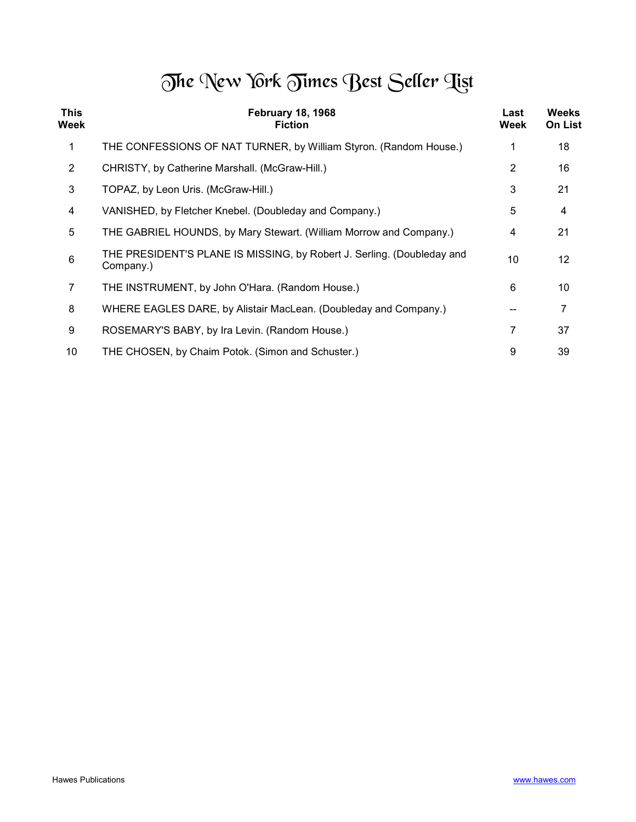## The New York Times Best Seller Tist

| <b>This</b><br>Week | <b>February 18, 1968</b><br><b>Fiction</b>                                          | Last<br>Week | <b>Weeks</b><br><b>On List</b> |
|---------------------|-------------------------------------------------------------------------------------|--------------|--------------------------------|
| 1                   | THE CONFESSIONS OF NAT TURNER, by William Styron. (Random House.)                   |              | 18                             |
| $\overline{2}$      | CHRISTY, by Catherine Marshall. (McGraw-Hill.)                                      | 2            | 16                             |
| 3                   | TOPAZ, by Leon Uris. (McGraw-Hill.)                                                 | 3            | 21                             |
| 4                   | VANISHED, by Fletcher Knebel. (Doubleday and Company.)                              | 5            | 4                              |
| 5                   | THE GABRIEL HOUNDS, by Mary Stewart. (William Morrow and Company.)                  | 4            | 21                             |
| $6\phantom{1}6$     | THE PRESIDENT'S PLANE IS MISSING, by Robert J. Serling. (Doubleday and<br>Company.) | 10           | 12                             |
| 7                   | THE INSTRUMENT, by John O'Hara. (Random House.)                                     | 6            | 10                             |
| 8                   | WHERE EAGLES DARE, by Alistair MacLean. (Doubleday and Company.)                    |              |                                |
| 9                   | ROSEMARY'S BABY, by Ira Levin. (Random House.)                                      |              | 37                             |
| 10                  | THE CHOSEN, by Chaim Potok. (Simon and Schuster.)                                   | 9            | 39                             |